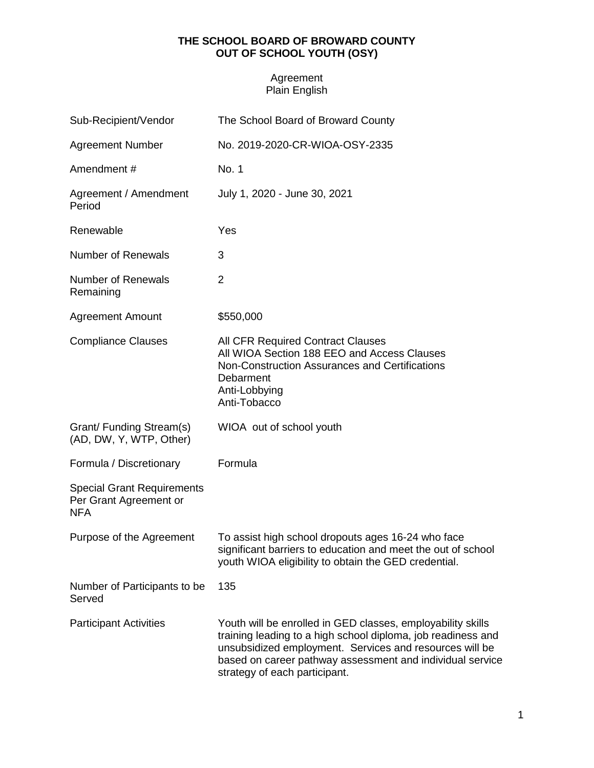## **THE SCHOOL BOARD OF BROWARD COUNTY OUT OF SCHOOL YOUTH (OSY)**

## Agreement Plain English

| Sub-Recipient/Vendor                                                      | The School Board of Broward County                                                                                                                                                                                                                                                   |
|---------------------------------------------------------------------------|--------------------------------------------------------------------------------------------------------------------------------------------------------------------------------------------------------------------------------------------------------------------------------------|
| <b>Agreement Number</b>                                                   | No. 2019-2020-CR-WIOA-OSY-2335                                                                                                                                                                                                                                                       |
| Amendment#                                                                | No. 1                                                                                                                                                                                                                                                                                |
| Agreement / Amendment<br>Period                                           | July 1, 2020 - June 30, 2021                                                                                                                                                                                                                                                         |
| Renewable                                                                 | Yes                                                                                                                                                                                                                                                                                  |
| <b>Number of Renewals</b>                                                 | 3                                                                                                                                                                                                                                                                                    |
| <b>Number of Renewals</b><br>Remaining                                    | $\overline{2}$                                                                                                                                                                                                                                                                       |
| <b>Agreement Amount</b>                                                   | \$550,000                                                                                                                                                                                                                                                                            |
| <b>Compliance Clauses</b>                                                 | <b>All CFR Required Contract Clauses</b><br>All WIOA Section 188 EEO and Access Clauses<br>Non-Construction Assurances and Certifications<br>Debarment<br>Anti-Lobbying<br>Anti-Tobacco                                                                                              |
| Grant/ Funding Stream(s)<br>(AD, DW, Y, WTP, Other)                       | WIOA out of school youth                                                                                                                                                                                                                                                             |
| Formula / Discretionary                                                   | Formula                                                                                                                                                                                                                                                                              |
| <b>Special Grant Requirements</b><br>Per Grant Agreement or<br><b>NFA</b> |                                                                                                                                                                                                                                                                                      |
| Purpose of the Agreement                                                  | To assist high school dropouts ages 16-24 who face<br>significant barriers to education and meet the out of school<br>youth WIOA eligibility to obtain the GED credential.                                                                                                           |
| Number of Participants to be<br>Served                                    | 135                                                                                                                                                                                                                                                                                  |
| <b>Participant Activities</b>                                             | Youth will be enrolled in GED classes, employability skills<br>training leading to a high school diploma, job readiness and<br>unsubsidized employment. Services and resources will be<br>based on career pathway assessment and individual service<br>strategy of each participant. |